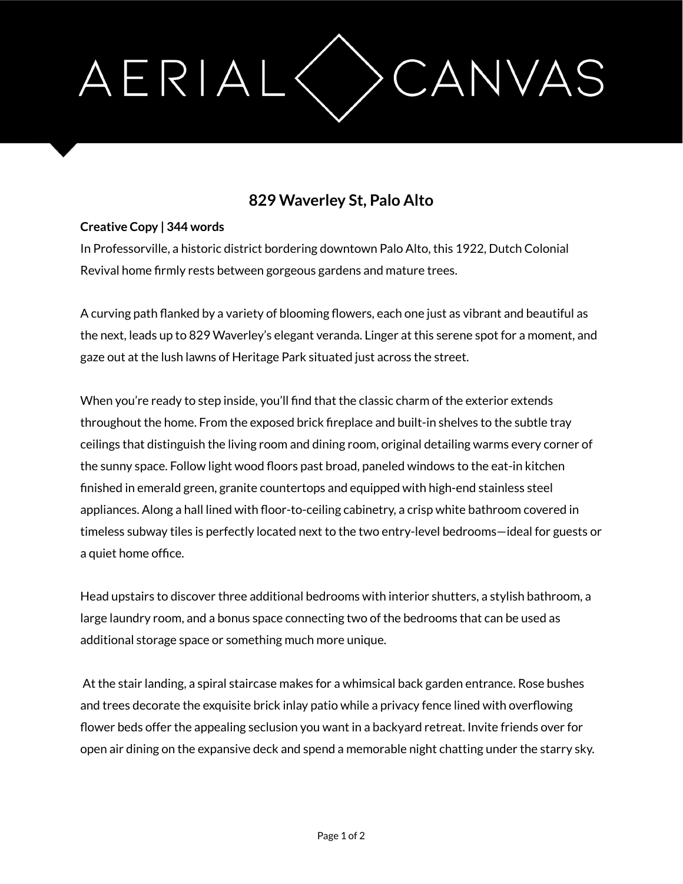## AERIAL CANVAS

## **829 Waverley St, Palo Alto**

## **Creative Copy | 344 words**

In Professorville, a historic district bordering downtown Palo Alto, this 1922, Dutch Colonial Revival home firmly rests between gorgeous gardens and mature trees.

A curving path flanked by a variety of blooming flowers, each one just as vibrant and beautiful as the next, leads up to 829 Waverley's elegant veranda. Linger at this serene spot for a moment, and gaze out at the lush lawns of Heritage Park situated just across the street.

When you're ready to step inside, you'll find that the classic charm of the exterior extends throughout the home. From the exposed brick fireplace and built-in shelves to the subtle tray ceilings that distinguish the living room and dining room, original detailing warms every corner of the sunny space. Follow light wood floors past broad, paneled windows to the eat-in kitchen finished in emerald green, granite countertops and equipped with high-end stainless steel appliances. Along a hall lined with floor-to-ceiling cabinetry, a crisp white bathroom covered in timeless subway tiles is perfectly located next to the two entry-level bedrooms—ideal for guests or a quiet home office.

Head upstairs to discover three additional bedrooms with interior shutters, a stylish bathroom, a large laundry room, and a bonus space connecting two of the bedrooms that can be used as additional storage space or something much more unique.

At the stair landing, a spiral staircase makes for a whimsical back garden entrance. Rose bushes and trees decorate the exquisite brick inlay patio while a privacy fence lined with overflowing flower beds offer the appealing seclusion you want in a backyard retreat. Invite friends over for open air dining on the expansive deck and spend a memorable night chatting under the starry sky.